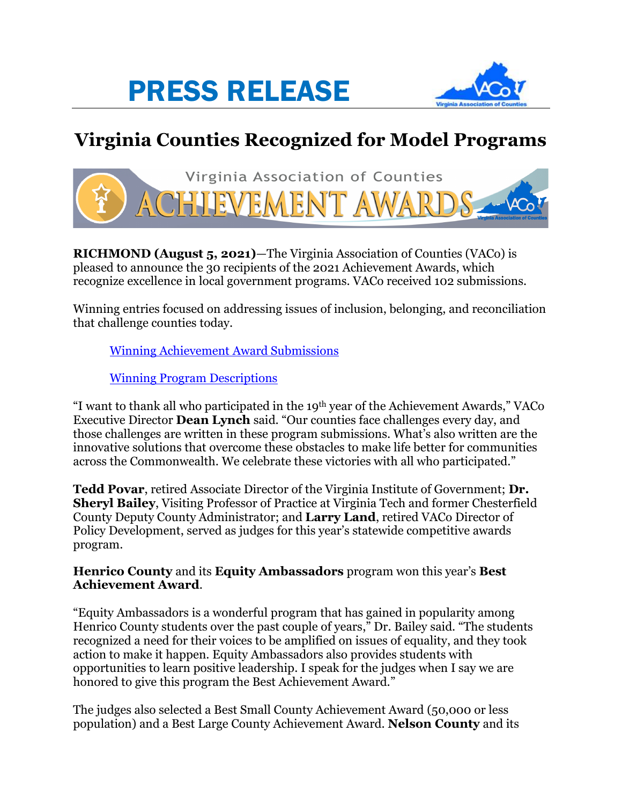



## **Virginia Counties Recognized for Model Programs**



**RICHMOND (August 5, 2021)**—The Virginia Association of Counties (VACo) is pleased to announce the 30 recipients of the 2021 Achievement Awards, which recognize excellence in local government programs. VACo received 102 submissions.

Winning entries focused on addressing issues of inclusion, belonging, and reconciliation that challenge counties today.

[Winning Achievement Award Submissions](https://www.vaco.org/wp-content/uploads/2021/08/21Winners.pdf)

[Winning Program Descriptions](https://www.vaco.org/wp-content/uploads/2021/08/21ProgramDescription.pdf)

"I want to thank all who participated in the 19th year of the Achievement Awards," VACo Executive Director **Dean Lynch** said. "Our counties face challenges every day, and those challenges are written in these program submissions. What's also written are the innovative solutions that overcome these obstacles to make life better for communities across the Commonwealth. We celebrate these victories with all who participated."

**Tedd Povar**, retired Associate Director of the Virginia Institute of Government; **Dr. Sheryl Bailey**, Visiting Professor of Practice at Virginia Tech and former Chesterfield County Deputy County Administrator; and **Larry Land**, retired VACo Director of Policy Development, served as judges for this year's statewide competitive awards program.

## **Henrico County** and its **Equity Ambassadors** program won this year's **Best Achievement Award**.

"Equity Ambassadors is a wonderful program that has gained in popularity among Henrico County students over the past couple of years," Dr. Bailey said. "The students recognized a need for their voices to be amplified on issues of equality, and they took action to make it happen. Equity Ambassadors also provides students with opportunities to learn positive leadership. I speak for the judges when I say we are honored to give this program the Best Achievement Award."

The judges also selected a Best Small County Achievement Award (50,000 or less population) and a Best Large County Achievement Award. **Nelson County** and its